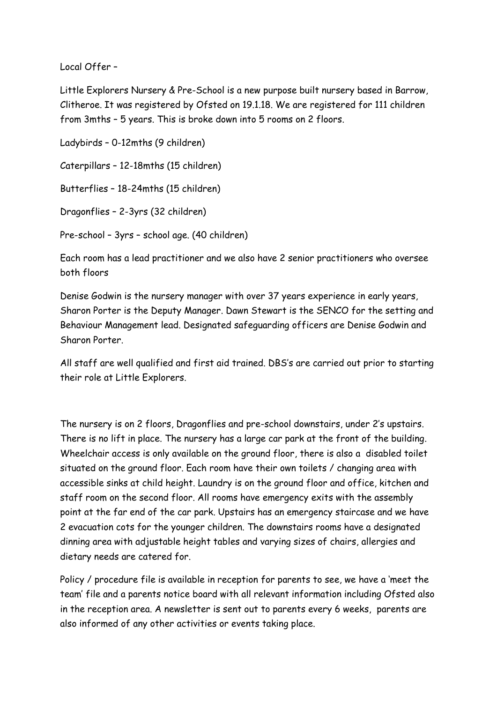Local Offer –

Little Explorers Nursery & Pre-School is a new purpose built nursery based in Barrow, Clitheroe. It was registered by Ofsted on 19.1.18. We are registered for 111 children from 3mths – 5 years. This is broke down into 5 rooms on 2 floors.

Ladybirds – 0-12mths (9 children) Caterpillars – 12-18mths (15 children) Butterflies – 18-24mths (15 children) Dragonflies – 2-3yrs (32 children) Pre-school – 3yrs – school age. (40 children)

Each room has a lead practitioner and we also have 2 senior practitioners who oversee both floors

Denise Godwin is the nursery manager with over 37 years experience in early years, Sharon Porter is the Deputy Manager. Dawn Stewart is the SENCO for the setting and Behaviour Management lead. Designated safeguarding officers are Denise Godwin and Sharon Porter.

All staff are well qualified and first aid trained. DBS's are carried out prior to starting their role at Little Explorers.

The nursery is on 2 floors, Dragonflies and pre-school downstairs, under 2's upstairs. There is no lift in place. The nursery has a large car park at the front of the building. Wheelchair access is only available on the ground floor, there is also a disabled toilet situated on the ground floor. Each room have their own toilets / changing area with accessible sinks at child height. Laundry is on the ground floor and office, kitchen and staff room on the second floor. All rooms have emergency exits with the assembly point at the far end of the car park. Upstairs has an emergency staircase and we have 2 evacuation cots for the younger children. The downstairs rooms have a designated dinning area with adjustable height tables and varying sizes of chairs, allergies and dietary needs are catered for.

Policy / procedure file is available in reception for parents to see, we have a 'meet the team' file and a parents notice board with all relevant information including Ofsted also in the reception area. A newsletter is sent out to parents every 6 weeks, parents are also informed of any other activities or events taking place.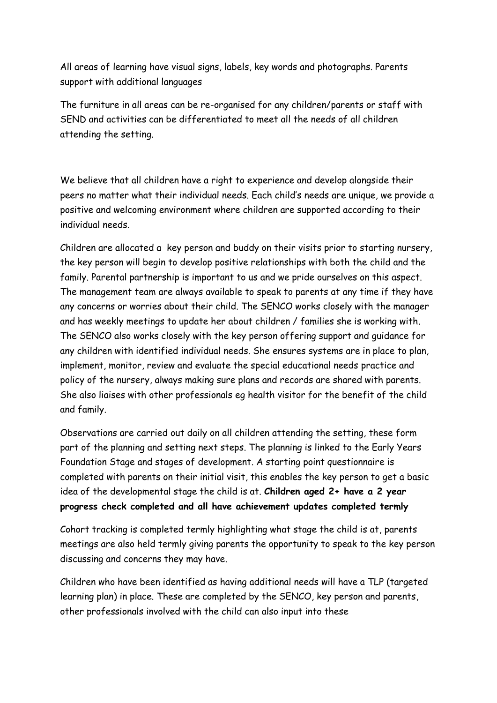All areas of learning have visual signs, labels, key words and photographs. Parents support with additional languages

The furniture in all areas can be re-organised for any children/parents or staff with SEND and activities can be differentiated to meet all the needs of all children attending the setting.

We believe that all children have a right to experience and develop alongside their peers no matter what their individual needs. Each child's needs are unique, we provide a positive and welcoming environment where children are supported according to their individual needs.

Children are allocated a key person and buddy on their visits prior to starting nursery, the key person will begin to develop positive relationships with both the child and the family. Parental partnership is important to us and we pride ourselves on this aspect. The management team are always available to speak to parents at any time if they have any concerns or worries about their child. The SENCO works closely with the manager and has weekly meetings to update her about children / families she is working with. The SENCO also works closely with the key person offering support and guidance for any children with identified individual needs. She ensures systems are in place to plan, implement, monitor, review and evaluate the special educational needs practice and policy of the nursery, always making sure plans and records are shared with parents. She also liaises with other professionals eg health visitor for the benefit of the child and family.

Observations are carried out daily on all children attending the setting, these form part of the planning and setting next steps. The planning is linked to the Early Years Foundation Stage and stages of development. A starting point questionnaire is completed with parents on their initial visit, this enables the key person to get a basic idea of the developmental stage the child is at. **Children aged 2+ have a 2 year progress check completed and all have achievement updates completed termly**

Cohort tracking is completed termly highlighting what stage the child is at, parents meetings are also held termly giving parents the opportunity to speak to the key person discussing and concerns they may have.

Children who have been identified as having additional needs will have a TLP (targeted learning plan) in place. These are completed by the SENCO, key person and parents, other professionals involved with the child can also input into these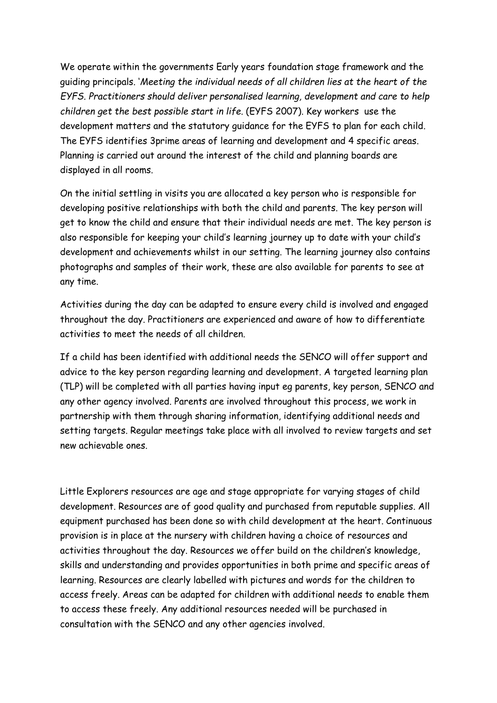We operate within the governments Early years foundation stage framework and the guiding principals. '*Meeting the individual needs of all children lies at the heart of the EYFS. Practitioners should deliver personalised learning, development and care to help children get the best possible start in life.* (EYFS 2007). Key workers use the development matters and the statutory guidance for the EYFS to plan for each child. The EYFS identifies 3prime areas of learning and development and 4 specific areas. Planning is carried out around the interest of the child and planning boards are displayed in all rooms.

On the initial settling in visits you are allocated a key person who is responsible for developing positive relationships with both the child and parents. The key person will get to know the child and ensure that their individual needs are met. The key person is also responsible for keeping your child's learning journey up to date with your child's development and achievements whilst in our setting. The learning journey also contains photographs and samples of their work, these are also available for parents to see at any time.

Activities during the day can be adapted to ensure every child is involved and engaged throughout the day. Practitioners are experienced and aware of how to differentiate activities to meet the needs of all children.

If a child has been identified with additional needs the SENCO will offer support and advice to the key person regarding learning and development. A targeted learning plan (TLP) will be completed with all parties having input eg parents, key person, SENCO and any other agency involved. Parents are involved throughout this process, we work in partnership with them through sharing information, identifying additional needs and setting targets. Regular meetings take place with all involved to review targets and set new achievable ones.

Little Explorers resources are age and stage appropriate for varying stages of child development. Resources are of good quality and purchased from reputable supplies. All equipment purchased has been done so with child development at the heart. Continuous provision is in place at the nursery with children having a choice of resources and activities throughout the day. Resources we offer build on the children's knowledge, skills and understanding and provides opportunities in both prime and specific areas of learning. Resources are clearly labelled with pictures and words for the children to access freely. Areas can be adapted for children with additional needs to enable them to access these freely. Any additional resources needed will be purchased in consultation with the SENCO and any other agencies involved.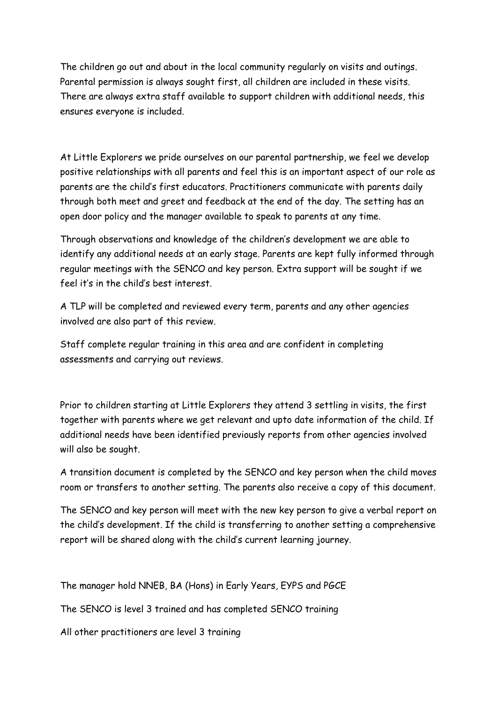The children go out and about in the local community regularly on visits and outings. Parental permission is always sought first, all children are included in these visits. There are always extra staff available to support children with additional needs, this ensures everyone is included.

At Little Explorers we pride ourselves on our parental partnership, we feel we develop positive relationships with all parents and feel this is an important aspect of our role as parents are the child's first educators. Practitioners communicate with parents daily through both meet and greet and feedback at the end of the day. The setting has an open door policy and the manager available to speak to parents at any time.

Through observations and knowledge of the children's development we are able to identify any additional needs at an early stage. Parents are kept fully informed through regular meetings with the SENCO and key person. Extra support will be sought if we feel it's in the child's best interest.

A TLP will be completed and reviewed every term, parents and any other agencies involved are also part of this review.

Staff complete regular training in this area and are confident in completing assessments and carrying out reviews.

Prior to children starting at Little Explorers they attend 3 settling in visits, the first together with parents where we get relevant and upto date information of the child. If additional needs have been identified previously reports from other agencies involved will also be sought.

A transition document is completed by the SENCO and key person when the child moves room or transfers to another setting. The parents also receive a copy of this document.

The SENCO and key person will meet with the new key person to give a verbal report on the child's development. If the child is transferring to another setting a comprehensive report will be shared along with the child's current learning journey.

The manager hold NNEB, BA (Hons) in Early Years, EYPS and PGCE

The SENCO is level 3 trained and has completed SENCO training

All other practitioners are level 3 training